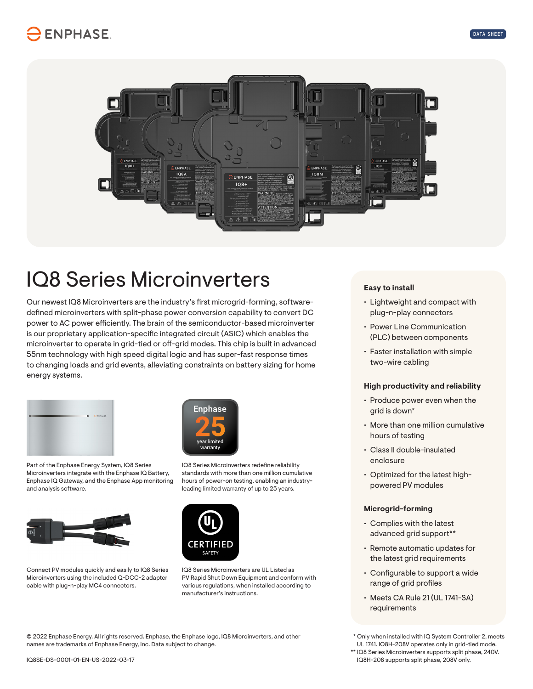## **ENPHASE**



# IQ8 Series Microinverters

Our newest IQ8 Microinverters are the industry's first microgrid-forming, softwaredefined microinverters with split-phase power conversion capability to convert DC power to AC power efficiently. The brain of the semiconductor-based microinverter is our proprietary application-specific integrated circuit (ASIC) which enables the microinverter to operate in grid-tied or off-grid modes. This chip is built in advanced 55nm technology with high speed digital logic and has super-fast response times to changing loads and grid events, alleviating constraints on battery sizing for home energy systems.



Part of the Enphase Energy System, IQ8 Series Microinverters integrate with the Enphase IQ Battery, Enphase IQ Gateway, and the Enphase App monitoring and analysis software.



Connect PV modules quickly and easily to IQ8 Series Microinverters using the included Q-DCC-2 adapter cable with plug-n-play MC4 connectors.



IQ8 Series Microinverters redefine reliability standards with more than one million cumulative hours of power-on testing, enabling an industryleading limited warranty of up to 25 years.



IQ8 Series Microinverters are UL Listed as PV Rapid Shut Down Equipment and conform with various regulations, when installed according to manufacturer's instructions.

**Easy to install**

- Lightweight and compact with plug-n-play connectors
- Power Line Communication (PLC) between components
- Faster installation with simple two-wire cabling

### **High productivity and reliability**

- Produce power even when the grid is down\*
- More than one million cumulative hours of testing
- Class II double-insulated enclosure
- Optimized for the latest highpowered PV modules

#### **Microgrid-forming**

- Complies with the latest advanced grid support\*\*
- Remote automatic updates for the latest grid requirements
- Configurable to support a wide range of grid profiles
- Meets CA Rule 21 (UL 1741-SA) requirements

© 2022 Enphase Energy. All rights reserved. Enphase, the Enphase logo, IQ8 Microinverters, and other names are trademarks of Enphase Energy, Inc. Data subject to change.

 \* Only when installed with IQ System Controller 2, meets UL 1741. IQ8H-208V operates only in grid-tied mode.

\*\* IQ8 Series Microinverters supports split phase, 240V. IQ8H-208 supports split phase, 208V only.